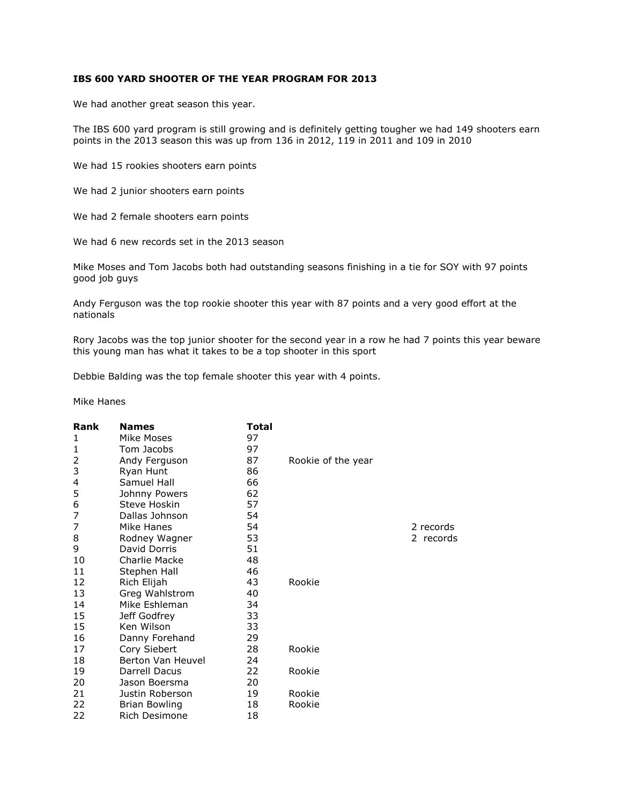## **IBS 600 YARD SHOOTER OF THE YEAR PROGRAM FOR 2013**

We had another great season this year.

The IBS 600 yard program is still growing and is definitely getting tougher we had 149 shooters earn points in the 2013 season this was up from 136 in 2012, 119 in 2011 and 109 in 2010

We had 15 rookies shooters earn points

We had 2 junior shooters earn points

We had 2 female shooters earn points

We had 6 new records set in the 2013 season

Mike Moses and Tom Jacobs both had outstanding seasons finishing in a tie for SOY with 97 points good job guys

Andy Ferguson was the top rookie shooter this year with 87 points and a very good effort at the nationals

Rory Jacobs was the top junior shooter for the second year in a row he had 7 points this year beware this young man has what it takes to be a top shooter in this sport

Debbie Balding was the top female shooter this year with 4 points.

Mike Hanes

| Rank | <b>Names</b>         | Total |                    |           |
|------|----------------------|-------|--------------------|-----------|
| 1    | Mike Moses           | 97    |                    |           |
| 1    | Tom Jacobs           | 97    |                    |           |
| 2    | Andy Ferguson        | 87    | Rookie of the year |           |
| 3    | Ryan Hunt            | 86    |                    |           |
| 4    | Samuel Hall          | 66    |                    |           |
| 5    | Johnny Powers        | 62    |                    |           |
| 6    | Steve Hoskin         | 57    |                    |           |
| 7    | Dallas Johnson       | 54    |                    |           |
| 7    | Mike Hanes           | 54    |                    | 2 records |
| 8    | Rodney Wagner        | 53    |                    | 2 records |
| 9    | David Dorris         | 51    |                    |           |
| 10   | Charlie Macke        | 48    |                    |           |
| 11   | Stephen Hall         | 46    |                    |           |
| 12   | Rich Elijah          | 43    | Rookie             |           |
| 13   | Greg Wahlstrom       | 40    |                    |           |
| 14   | Mike Eshleman        | 34    |                    |           |
| 15   | Jeff Godfrey         | 33    |                    |           |
| 15   | Ken Wilson           | 33    |                    |           |
| 16   | Danny Forehand       | 29    |                    |           |
| 17   | Cory Siebert         | 28    | Rookie             |           |
| 18   | Berton Van Heuvel    | 24    |                    |           |
| 19   | Darrell Dacus        | 22    | Rookie             |           |
| 20   | Jason Boersma        | 20    |                    |           |
| 21   | Justin Roberson      | 19    | Rookie             |           |
| 22   | <b>Brian Bowling</b> | 18    | Rookie             |           |
| 22   | Rich Desimone        | 18    |                    |           |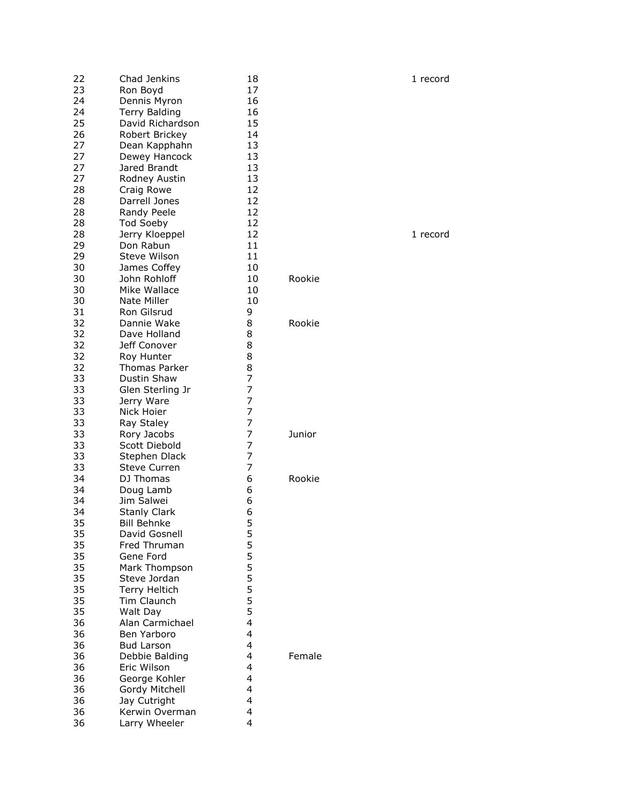| 22<br>23 | Chad Jenkins<br>Ron Boyd | 18<br>17       |        | 1 record |
|----------|--------------------------|----------------|--------|----------|
| 24       | Dennis Myron             | 16             |        |          |
| 24       | <b>Terry Balding</b>     | 16             |        |          |
| 25       | David Richardson         | 15             |        |          |
| 26       | Robert Brickey           | 14             |        |          |
| 27       | Dean Kapphahn            | 13             |        |          |
| 27       | Dewey Hancock            | 13             |        |          |
| 27       | Jared Brandt             | 13             |        |          |
| 27       | Rodney Austin            | 13             |        |          |
| 28       | Craig Rowe               | 12             |        |          |
| 28       | Darrell Jones            | 12             |        |          |
| 28       | Randy Peele              | 12             |        |          |
| 28       | <b>Tod Soeby</b>         | 12             |        |          |
| 28       | Jerry Kloeppel           | 12             |        | 1 record |
| 29       | Don Rabun                | 11             |        |          |
| 29       | Steve Wilson             | 11             |        |          |
| 30       | James Coffey             | 10             |        |          |
| 30       | John Rohloff             | 10             | Rookie |          |
| 30       | Mike Wallace             | 10             |        |          |
| 30       | Nate Miller              | 10             |        |          |
| 31       | Ron Gilsrud              | 9              |        |          |
| 32       | Dannie Wake              | 8              | Rookie |          |
| 32       | Dave Holland             | 8              |        |          |
| 32       | Jeff Conover             | 8              |        |          |
| 32       | Roy Hunter               | 8              |        |          |
| 32       | Thomas Parker            | 8              |        |          |
| 33       | Dustin Shaw              | 7              |        |          |
| 33       | Glen Sterling Jr         | 7              |        |          |
| 33       | Jerry Ware               | 7              |        |          |
| 33       | Nick Hoier               | $\overline{7}$ |        |          |
| 33       | Ray Staley               | 7              |        |          |
| 33       | Rory Jacobs              | 7              | Junior |          |
| 33       | Scott Diebold            | 7              |        |          |
| 33       | Stephen Dlack            | 7              |        |          |
| 33       | <b>Steve Curren</b>      | 7              |        |          |
| 34       | DJ Thomas                | 6              | Rookie |          |
| 34       | Doug Lamb                | 6              |        |          |
| 34       | Jim Salwei               | 6              |        |          |
| 34       | <b>Stanly Clark</b>      | 6              |        |          |
| 35       | <b>Bill Behnke</b>       | 5              |        |          |
| 35       | David Gosnell            | 5              |        |          |
| 35       | Fred Thruman             | 555555         |        |          |
| 35       | Gene Ford                |                |        |          |
| 35       | Mark Thompson            |                |        |          |
| 35       | Steve Jordan             |                |        |          |
| 35       | Terry Heltich            |                |        |          |
| 35       | Tim Claunch              |                |        |          |
| 35       | Walt Day                 | 5              |        |          |
| 36       | Alan Carmichael          | 4              |        |          |
| 36       | Ben Yarboro              | 4              |        |          |
| 36       | <b>Bud Larson</b>        | 4              |        |          |
| 36       | Debbie Balding           | 4              | Female |          |
| 36       | Eric Wilson              | 4              |        |          |
| 36       | George Kohler            | 4              |        |          |
| 36       | Gordy Mitchell           | 4              |        |          |
| 36       | Jay Cutright             | 4              |        |          |
| 36       | Kerwin Overman           | 4              |        |          |
| 36       | Larry Wheeler            | 4              |        |          |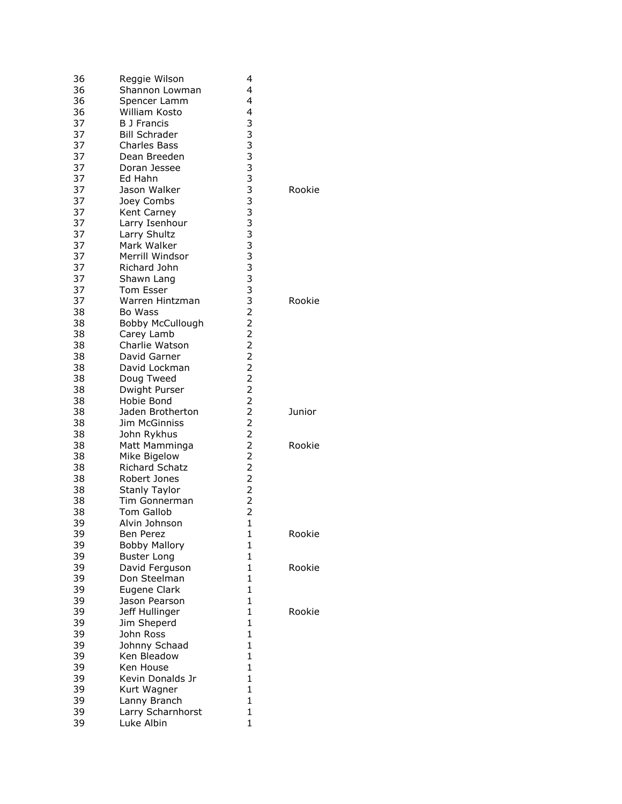| 36       | Reggie Wilson                   | 4                                            |        |
|----------|---------------------------------|----------------------------------------------|--------|
| 36       | Shannon Lowman                  | 4                                            |        |
| 36       | Spencer Lamm                    | 4                                            |        |
| 36       | William Kosto                   | 4                                            |        |
| 37       | <b>B</b> J Francis              |                                              |        |
| 37       | <b>Bill Schrader</b>            | 33333333333333332                            |        |
| 37       | <b>Charles Bass</b>             |                                              |        |
|          |                                 |                                              |        |
| 37       | Dean Breeden                    |                                              |        |
| 37       | Doran Jessee                    |                                              |        |
| 37       | Ed Hahn                         |                                              |        |
| 37       | Jason Walker                    |                                              | Rookie |
| 37       | Joey Combs                      |                                              |        |
| 37       | Kent Carney                     |                                              |        |
| 37       | Larry Isenhour                  |                                              |        |
| 37       | Larry Shultz                    |                                              |        |
| 37       | Mark Walker                     |                                              |        |
| 37       | Merrill Windsor                 |                                              |        |
|          |                                 |                                              |        |
| 37       | Richard John                    |                                              |        |
| 37       | Shawn Lang                      |                                              |        |
| 37       | <b>Tom Esser</b>                |                                              |        |
| 37       | Warren Hintzman                 |                                              | Rookie |
| 38       | Bo Wass                         |                                              |        |
| 38       | <b>Bobby McCullough</b>         | $\overline{2}$                               |        |
| 38       | Carey Lamb                      |                                              |        |
| 38       | Charlie Watson                  |                                              |        |
| 38       | David Garner                    | $\begin{array}{c}\n2 \\ 2 \\ 2\n\end{array}$ |        |
|          |                                 |                                              |        |
| 38       | David Lockman                   |                                              |        |
| 38       | Doug Tweed                      | $\overline{2}$                               |        |
| 38       | Dwight Purser                   | $\overline{2}$                               |        |
| 38       | Hobie Bond                      | $\overline{2}$                               |        |
| 38       | Jaden Brotherton                | $\frac{2}{2}$                                | Junior |
| 38       | <b>Jim McGinniss</b>            |                                              |        |
| 38       | John Rykhus                     |                                              |        |
| 38       | Matt Mamminga                   | $\begin{array}{c} 2 \\ 2 \\ 2 \end{array}$   | Rookie |
| 38       | Mike Bigelow                    |                                              |        |
| 38       | <b>Richard Schatz</b>           |                                              |        |
| 38       | Robert Jones                    | $\begin{array}{c}\n2 \\ 2 \\ 2\n\end{array}$ |        |
|          |                                 |                                              |        |
| 38       | <b>Stanly Taylor</b>            |                                              |        |
| 38       | Tim Gonnerman                   |                                              |        |
| 38       | <b>Tom Gallob</b>               | $\overline{2}$                               |        |
| 39       | Alvin Johnson                   | $\mathbf{1}$                                 |        |
| 39       | Ben Perez                       | 1                                            | Rookie |
| 39       | <b>Bobby Mallory</b>            | 1                                            |        |
| 39       | <b>Buster Long</b>              | 1                                            |        |
| 39       | David Ferguson                  | $\mathbf{1}$                                 | Rookie |
| 39       | Don Steelman                    | 1                                            |        |
| 39       | Eugene Clark                    | 1                                            |        |
|          |                                 |                                              |        |
| 39       | Jason Pearson                   | 1                                            |        |
| 39       | Jeff Hullinger                  | 1                                            | Rookie |
| 39       | Jim Sheperd                     | 1                                            |        |
| 39       | John Ross                       | $\mathbf{1}$                                 |        |
| 39       | Johnny Schaad                   | 1                                            |        |
| 39       | Ken Bleadow                     | 1                                            |        |
| 39       | Ken House                       | $\mathbf{1}$                                 |        |
| 39       | Kevin Donalds Jr                | 1                                            |        |
| 39       |                                 |                                              |        |
|          |                                 |                                              |        |
|          | Kurt Wagner                     | $\mathbf{1}$                                 |        |
| 39       | Lanny Branch                    | 1                                            |        |
| 39<br>39 | Larry Scharnhorst<br>Luke Albin | $\mathbf{1}$<br>1                            |        |